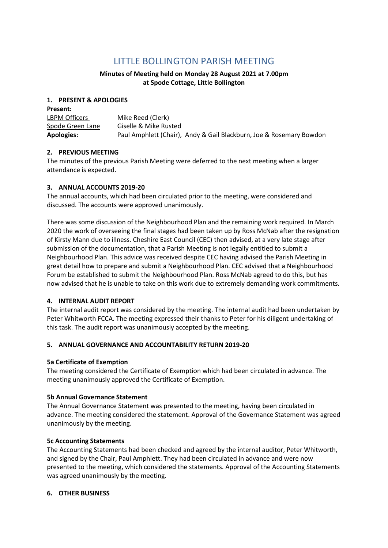# **LITTLE BOLLINGTON PARISH MEETING**

## **Minutes of Meeting held on Monday 28 August 2021 at 7.00pm at Spode Cottage, Little Bollington**

#### **1. PRESENT & APOLOGIES**

| <b>Present:</b>   |                                                                     |
|-------------------|---------------------------------------------------------------------|
| LBPM Officers     | Mike Reed (Clerk)                                                   |
| Spode Green Lane  | Giselle & Mike Rusted                                               |
| <b>Apologies:</b> | Paul Amphlett (Chair), Andy & Gail Blackburn, Joe & Rosemary Bowdon |

### **2. PREVIOUS MEETING**

The minutes of the previous Parish Meeting were deferred to the next meeting when a larger attendance is expected.

#### **3. ANNUAL ACCOUNTS 2019-20**

The annual accounts, which had been circulated prior to the meeting, were considered and discussed. The accounts were approved unanimously.

There was some discussion of the Neighbourhood Plan and the remaining work required. In March 2020 the work of overseeing the final stages had been taken up by Ross McNab after the resignation of Kirsty Mann due to illness. Cheshire East Council (CEC) then advised, at a very late stage after submission of the documentation, that a Parish Meeting is not legally entitled to submit a Neighbourhood Plan. This advice was received despite CEC having advised the Parish Meeting in great detail how to prepare and submit a Neighbourhood Plan. CEC advised that a Neighbourhood Forum be established to submit the Neighbourhood Plan. Ross McNab agreed to do this, but has now advised that he is unable to take on this work due to extremely demanding work commitments.

#### **4. INTERNAL AUDIT REPORT**

The internal audit report was considered by the meeting. The internal audit had been undertaken by Peter Whitworth FCCA. The meeting expressed their thanks to Peter for his diligent undertaking of this task. The audit report was unanimously accepted by the meeting.

#### **5. ANNUAL GOVERNANCE AND ACCOUNTABILITY RETURN 2019-20**

#### **5a Certificate of Exemption**

The meeting considered the Certificate of Exemption which had been circulated in advance. The meeting unanimously approved the Certificate of Exemption.

#### **5b Annual Governance Statement**

The Annual Governance Statement was presented to the meeting, having been circulated in advance. The meeting considered the statement. Approval of the Governance Statement was agreed unanimously by the meeting.

#### **5c Accounting Statements**

The Accounting Statements had been checked and agreed by the internal auditor, Peter Whitworth, and signed by the Chair, Paul Amphlett. They had been circulated in advance and were now presented to the meeting, which considered the statements. Approval of the Accounting Statements was agreed unanimously by the meeting.

#### **6. OTHER BUSINESS**